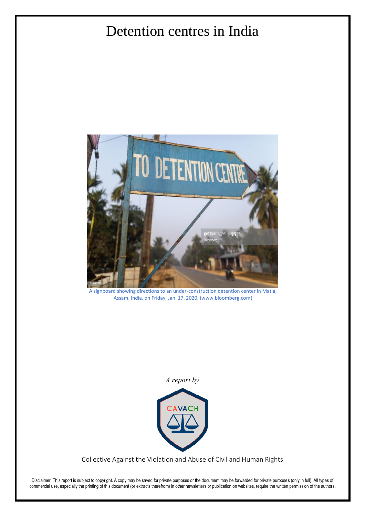# Detention centres in India



A signboard showing directions to an under-construction detention center in Matia, Assam, India, on Friday, Jan. 17, 2020. (www.bloomberg.com)

*A report by*



Collective Against the Violation and Abuse of Civil and Human Rights

Disclaimer: This report is subject to copyright. A copy may be saved for private purposes or the document may be forwarded for private purposes (only in full). All types of commercial use, especially the printing of this document (or extracts therefrom) in other newsletters or publication on websites, require the written permission of the authors.